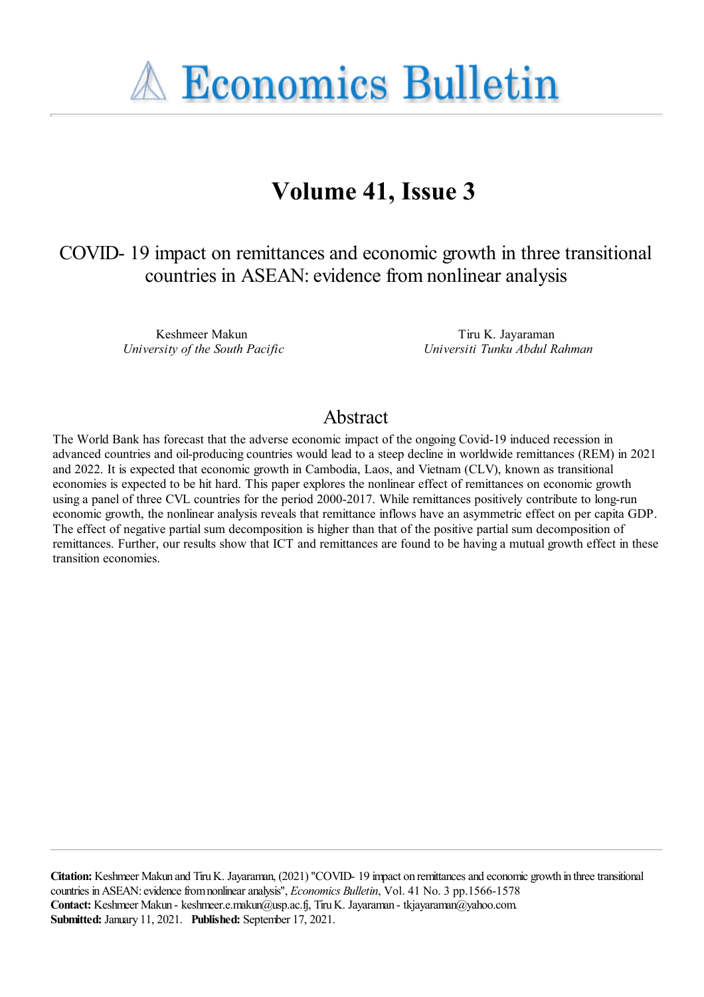

# **Volume 41, Issue 3**

COVID- 19 impact on remittances and economic growth in three transitional countries in ASEAN: evidence from nonlinear analysis

> Keshmeer Makun *University of the South Pacific*

Tiru K. Jayaraman *Universiti Tunku Abdul Rahman*

## Abstract

The World Bank has forecast that the adverse economic impact of the ongoing Covid-19 induced recession in advanced countries and oil-producing countries would lead to a steep decline in worldwide remittances (REM) in 2021 and 2022. It is expected that economic growth in Cambodia, Laos, and Vietnam (CLV), known as transitional economies is expected to be hit hard. This paper explores the nonlinear effect of remittances on economic growth using a panel of three CVL countries for the period 2000-2017. While remittances positively contribute to long-run economic growth, the nonlinear analysis reveals that remittance inflows have an asymmetric effect on per capita GDP. The effect of negative partial sum decomposition is higher than that of the positive partial sum decomposition of remittances. Further, our results show that ICT and remittances are found to be having a mutual growth effect in these transition economies.

**Citation:** Keshmeer Makun and TiruK. Jayaraman, (2021) ''COVID- 19 impact on remittancesand economic growth in threetransitional countries inASEAN:evidencefromnonlinearanalysis'', *Economics Bulletin*, Vol. 41 No. 3 pp.1566-1578 Contact: Keshmeer Makun - keshmeer.e.makun@usp.ac.fj, Tiru K. Jayaraman - tkjayaraman@yahoo.com. **Submitted:** January 11, 2021. **Published:** September 17, 2021.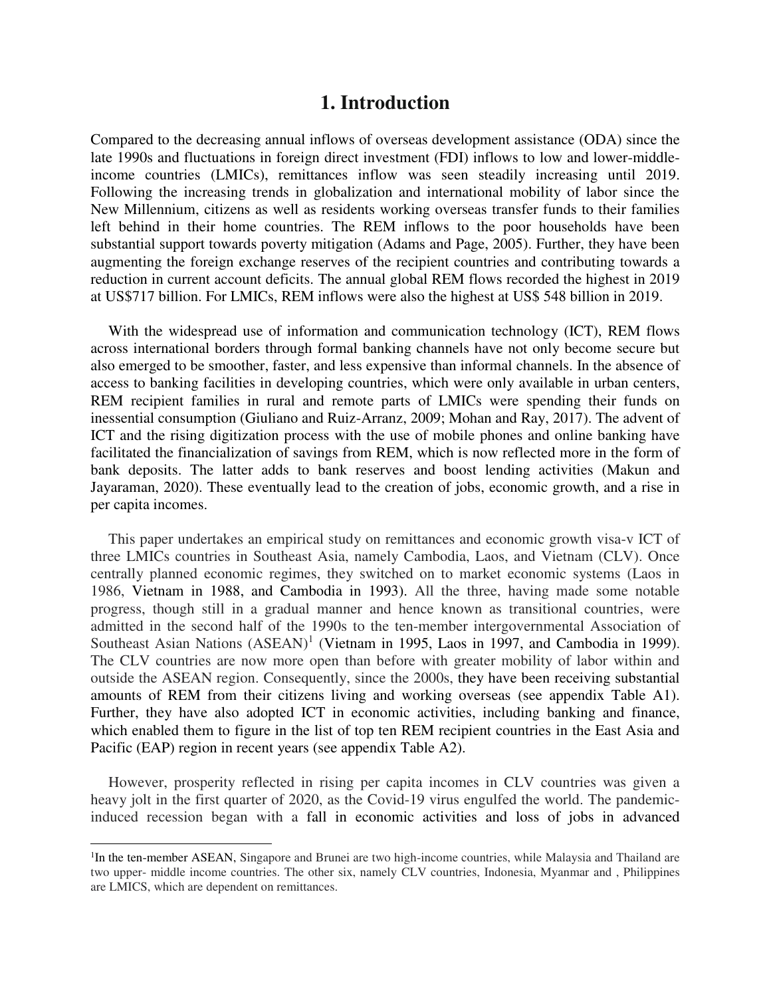## **1. Introduction**

Compared to the decreasing annual inflows of overseas development assistance (ODA) since the late 1990s and fluctuations in foreign direct investment (FDI) inflows to low and lower-middleincome countries (LMICs), remittances inflow was seen steadily increasing until 2019. Following the increasing trends in globalization and international mobility of labor since the New Millennium, citizens as well as residents working overseas transfer funds to their families left behind in their home countries. The REM inflows to the poor households have been substantial support towards poverty mitigation (Adams and Page, 2005). Further, they have been augmenting the foreign exchange reserves of the recipient countries and contributing towards a reduction in current account deficits. The annual global REM flows recorded the highest in 2019 at US\$717 billion. For LMICs, REM inflows were also the highest at US\$ 548 billion in 2019.

With the widespread use of information and communication technology (ICT), REM flows across international borders through formal banking channels have not only become secure but also emerged to be smoother, faster, and less expensive than informal channels. In the absence of access to banking facilities in developing countries, which were only available in urban centers, REM recipient families in rural and remote parts of LMICs were spending their funds on inessential consumption (Giuliano and Ruiz-Arranz, 2009; Mohan and Ray, 2017). The advent of ICT and the rising digitization process with the use of mobile phones and online banking have facilitated the financialization of savings from REM, which is now reflected more in the form of bank deposits. The latter adds to bank reserves and boost lending activities (Makun and Jayaraman, 2020). These eventually lead to the creation of jobs, economic growth, and a rise in per capita incomes.

This paper undertakes an empirical study on remittances and economic growth visa-v ICT of three LMICs countries in Southeast Asia, namely Cambodia, Laos, and Vietnam (CLV). Once centrally planned economic regimes, they switched on to market economic systems (Laos in 1986, Vietnam in 1988, and Cambodia in 1993). All the three, having made some notable progress, though still in a gradual manner and hence known as transitional countries, were admitted in the second half of the 1990s to the ten-member intergovernmental Association of Southeast Asian Nations  $(ASEAN)^1$  (Vietnam in 1995, Laos in 1997, and Cambodia in 1999). The CLV countries are now more open than before with greater mobility of labor within and outside the ASEAN region. Consequently, since the 2000s, they have been receiving substantial amounts of REM from their citizens living and working overseas (see appendix Table A1). Further, they have also adopted ICT in economic activities, including banking and finance, which enabled them to figure in the list of top ten REM recipient countries in the East Asia and Pacific (EAP) region in recent years (see appendix Table A2).

However, prosperity reflected in rising per capita incomes in CLV countries was given a heavy jolt in the first quarter of 2020, as the Covid-19 virus engulfed the world. The pandemicinduced recession began with a fall in economic activities and loss of jobs in advanced

l

<sup>&</sup>lt;sup>1</sup>In the ten-member ASEAN, Singapore and Brunei are two high-income countries, while Malaysia and Thailand are two upper- middle income countries. The other six, namely CLV countries, Indonesia, Myanmar and , Philippines are LMICS, which are dependent on remittances.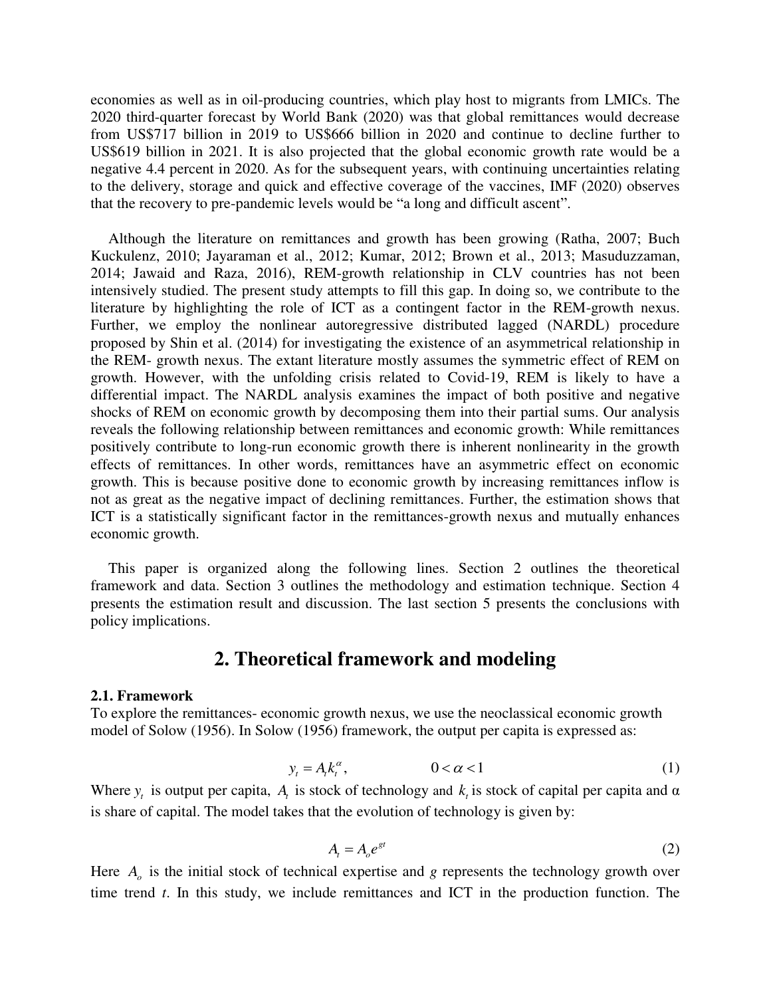economies as well as in oil-producing countries, which play host to migrants from LMICs. The 2020 third-quarter forecast by World Bank (2020) was that global remittances would decrease from US\$717 billion in 2019 to US\$666 billion in 2020 and continue to decline further to US\$619 billion in 2021. It is also projected that the global economic growth rate would be a negative 4.4 percent in 2020. As for the subsequent years, with continuing uncertainties relating to the delivery, storage and quick and effective coverage of the vaccines, IMF (2020) observes that the recovery to pre-pandemic levels would be "a long and difficult ascent".

Although the literature on remittances and growth has been growing (Ratha, 2007; Buch Kuckulenz, 2010; Jayaraman et al., 2012; Kumar, 2012; Brown et al., 2013; Masuduzzaman, 2014; Jawaid and Raza, 2016), REM-growth relationship in CLV countries has not been intensively studied. The present study attempts to fill this gap. In doing so, we contribute to the literature by highlighting the role of ICT as a contingent factor in the REM-growth nexus. Further, we employ the nonlinear autoregressive distributed lagged (NARDL) procedure proposed by Shin et al. (2014) for investigating the existence of an asymmetrical relationship in the REM- growth nexus. The extant literature mostly assumes the symmetric effect of REM on growth. However, with the unfolding crisis related to Covid-19, REM is likely to have a differential impact. The NARDL analysis examines the impact of both positive and negative shocks of REM on economic growth by decomposing them into their partial sums. Our analysis reveals the following relationship between remittances and economic growth: While remittances positively contribute to long-run economic growth there is inherent nonlinearity in the growth effects of remittances. In other words, remittances have an asymmetric effect on economic growth. This is because positive done to economic growth by increasing remittances inflow is not as great as the negative impact of declining remittances. Further, the estimation shows that ICT is a statistically significant factor in the remittances-growth nexus and mutually enhances economic growth.

This paper is organized along the following lines. Section 2 outlines the theoretical framework and data. Section 3 outlines the methodology and estimation technique. Section 4 presents the estimation result and discussion. The last section 5 presents the conclusions with policy implications.

## **2. Theoretical framework and modeling**

#### **2.1. Framework**

To explore the remittances- economic growth nexus, we use the neoclassical economic growth model of Solow (1956). In Solow (1956) framework, the output per capita is expressed as:

$$
y_t = A_t k_t^{\alpha}, \qquad 0 < \alpha < 1 \tag{1}
$$

Where  $y_t$  is output per capita,  $A_t$  is stock of technology and  $k_t$  is stock of capital per capita and  $\alpha$ is share of capital. The model takes that the evolution of technology is given by:

$$
A_t = A_o e^{gt} \tag{2}
$$

Here *<sup>A</sup><sup>o</sup>* is the initial stock of technical expertise and *g* represents the technology growth over time trend *t*. In this study, we include remittances and ICT in the production function. The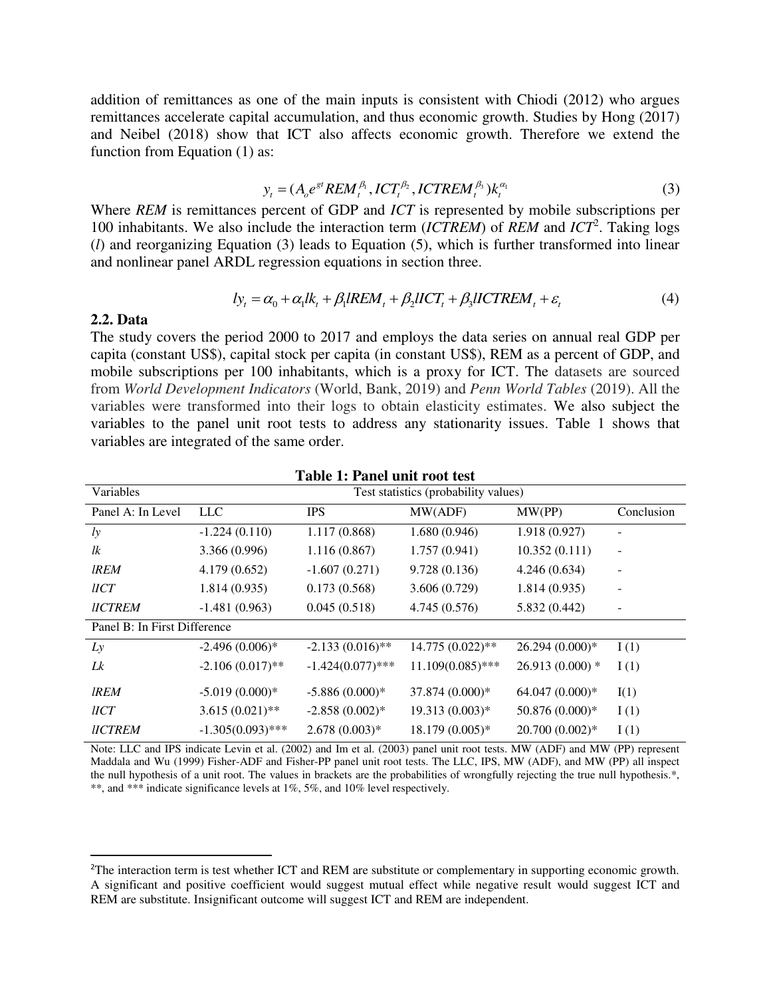addition of remittances as one of the main inputs is consistent with Chiodi (2012) who argues remittances accelerate capital accumulation, and thus economic growth. Studies by Hong (2017) and Neibel (2018) show that ICT also affects economic growth. Therefore we extend the function from Equation (1) as:

$$
y_t = (A_0 e^{gt} REM_t^{\beta_1}, ICT_t^{\beta_2}, ICTREM_t^{\beta_3})k_t^{\alpha_1}
$$
\n(3)

Where *REM* is remittances percent of GDP and *ICT* is represented by mobile subscriptions per 100 inhabitants. We also include the interaction term (*ICTREM*) of *REM* and *ICT*<sup>2</sup> . Taking logs (*l*) and reorganizing Equation (3) leads to Equation (5), which is further transformed into linear and nonlinear panel ARDL regression equations in section three.

$$
ly_t = \alpha_0 + \alpha_1 lk_t + \beta_1 IREM_t + \beta_2 IICT_t + \beta_3 IICTREM_t + \varepsilon_t
$$
\n
$$
\tag{4}
$$

#### **2.2. Data**

l

The study covers the period 2000 to 2017 and employs the data series on annual real GDP per capita (constant US\$), capital stock per capita (in constant US\$), REM as a percent of GDP, and mobile subscriptions per 100 inhabitants, which is a proxy for ICT. The datasets are sourced from *World Development Indicators* (World, Bank, 2019) and *Penn World Tables* (2019). All the variables were transformed into their logs to obtain elasticity estimates. We also subject the variables to the panel unit root tests to address any stationarity issues. Table 1 shows that variables are integrated of the same order.

| Variables                    |                     |                     | Test statistics (probability values) |                  |                          |
|------------------------------|---------------------|---------------------|--------------------------------------|------------------|--------------------------|
| Panel A: In Level            | LLC                 | <b>IPS</b>          | MW(ADF)                              | MW(PP)           | Conclusion               |
| $l$ <i>y</i>                 | $-1.224(0.110)$     | 1.117(0.868)        | 1.680(0.946)                         | 1.918(0.927)     |                          |
| lk                           | 3.366 (0.996)       | 1.116(0.867)        | 1.757(0.941)                         | 10.352(0.111)    | $\overline{\phantom{a}}$ |
| <b>IREM</b>                  | 4.179(0.652)        | $-1.607(0.271)$     | 9.728(0.136)                         | 4.246(0.634)     | $\overline{a}$           |
| $\mu$ CT                     | 1.814(0.935)        | 0.173(0.568)        | 3.606(0.729)                         | 1.814(0.935)     |                          |
| <b>IICTREM</b>               | $-1.481(0.963)$     | 0.045(0.518)        | 4.745(0.576)                         | 5.832 (0.442)    |                          |
| Panel B: In First Difference |                     |                     |                                      |                  |                          |
| Lv                           | $-2.496(0.006)*$    | $-2.133(0.016)$ **  | 14.775 (0.022)**                     | 26.294 (0.000)*  | I(1)                     |
| Lk                           | $-2.106(0.017)$ **  | $-1.424(0.077)$ *** | $11.109(0.085)$ ***                  | $26.913(0.000)*$ | I(1)                     |
| <b>IREM</b>                  | $-5.019(0.000)*$    | $-5.886(0.000)*$    | 37.874 (0.000)*                      | 64.047 (0.000)*  | I(1)                     |
| $\mu$ CT                     | $3.615(0.021)$ **   | $-2.858(0.002)$ *   | $19.313(0.003)*$                     | 50.876 (0.000)*  | I(1)                     |
| <b>IICTREM</b>               | $-1.305(0.093)$ *** | $2.678(0.003)*$     | 18.179 (0.005)*                      | 20.700 (0.002)*  | I(1)                     |

| <b>Table 1: Panel unit root test</b> |
|--------------------------------------|
|--------------------------------------|

Note: LLC and IPS indicate Levin et al. (2002) and Im et al. (2003) panel unit root tests. MW (ADF) and MW (PP) represent Maddala and Wu (1999) Fisher-ADF and Fisher-PP panel unit root tests. The LLC, IPS, MW (ADF), and MW (PP) all inspect the null hypothesis of a unit root. The values in brackets are the probabilities of wrongfully rejecting the true null hypothesis.\*, \*\*, and \*\*\* indicate significance levels at 1%, 5%, and 10% level respectively.

<sup>&</sup>lt;sup>2</sup>The interaction term is test whether ICT and REM are substitute or complementary in supporting economic growth. A significant and positive coefficient would suggest mutual effect while negative result would suggest ICT and REM are substitute. Insignificant outcome will suggest ICT and REM are independent.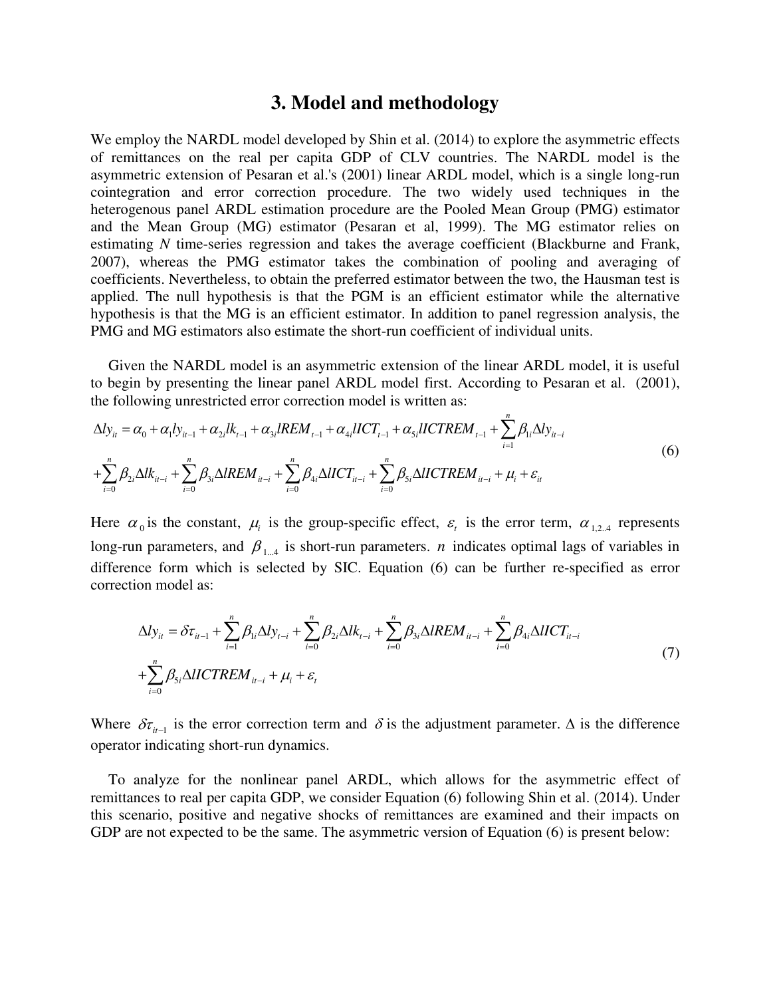#### **3. Model and methodology**

We employ the NARDL model developed by Shin et al. (2014) to explore the asymmetric effects of remittances on the real per capita GDP of CLV countries. The NARDL model is the asymmetric extension of Pesaran et al.'s (2001) linear ARDL model, which is a single long-run cointegration and error correction procedure. The two widely used techniques in the heterogenous panel ARDL estimation procedure are the Pooled Mean Group (PMG) estimator and the Mean Group (MG) estimator (Pesaran et al, 1999). The MG estimator relies on estimating *N* time-series regression and takes the average coefficient (Blackburne and Frank, 2007), whereas the PMG estimator takes the combination of pooling and averaging of coefficients. Nevertheless, to obtain the preferred estimator between the two, the Hausman test is applied. The null hypothesis is that the PGM is an efficient estimator while the alternative hypothesis is that the MG is an efficient estimator. In addition to panel regression analysis, the PMG and MG estimators also estimate the short-run coefficient of individual units.

Given the NARDL model is an asymmetric extension of the linear ARDL model, it is useful to begin by presenting the linear panel ARDL model first. According to Pesaran et al. (2001), the following unrestricted error correction model is written as:

$$
\Delta l y_{it} = \alpha_0 + \alpha_1 l y_{it-1} + \alpha_{2i} l k_{t-1} + \alpha_{3i} l R E M_{t-1} + \alpha_{4i} l I C T_{t-1} + \alpha_{5i} l I C T R E M_{t-1} + \sum_{i=1}^n \beta_{1i} \Delta l y_{it-i}
$$
  
+
$$
\sum_{i=0}^n \beta_{2i} \Delta l k_{it-i} + \sum_{i=0}^n \beta_{3i} \Delta l R E M_{it-i} + \sum_{i=0}^n \beta_{4i} \Delta l I C T_{it-i} + \sum_{i=0}^n \beta_{5i} \Delta l I C T R E M_{it-i} + \mu_i + \varepsilon_{it}
$$
 (6)

Here  $\alpha_0$  is the constant,  $\mu_i$  is the group-specific effect,  $\varepsilon_i$  is the error term,  $\alpha_{1,2,4}$  represents long-run parameters, and  $\beta_{1...4}$  is short-run parameters. *n* indicates optimal lags of variables in difference form which is selected by SIC. Equation (6) can be further re-specified as error correction model as:

$$
\Delta l y_{ii} = \delta \tau_{i} + \sum_{i=1}^{n} \beta_{1i} \Delta l y_{t-i} + \sum_{i=0}^{n} \beta_{2i} \Delta l k_{t-i} + \sum_{i=0}^{n} \beta_{3i} \Delta l R E M_{i} + \sum_{i=0}^{n} \beta_{4i} \Delta l I C T_{i} + \sum_{i=0}^{n} \beta_{5i} \Delta l I C T R E M_{i} + \mu_{i} + \varepsilon_{t}
$$
\n(7)

Where  $\delta \tau_{i-1}$  is the error correction term and  $\delta$  is the adjustment parameter.  $\Delta$  is the difference operator indicating short-run dynamics.

To analyze for the nonlinear panel ARDL, which allows for the asymmetric effect of remittances to real per capita GDP, we consider Equation (6) following Shin et al. (2014). Under this scenario, positive and negative shocks of remittances are examined and their impacts on GDP are not expected to be the same. The asymmetric version of Equation (6) is present below: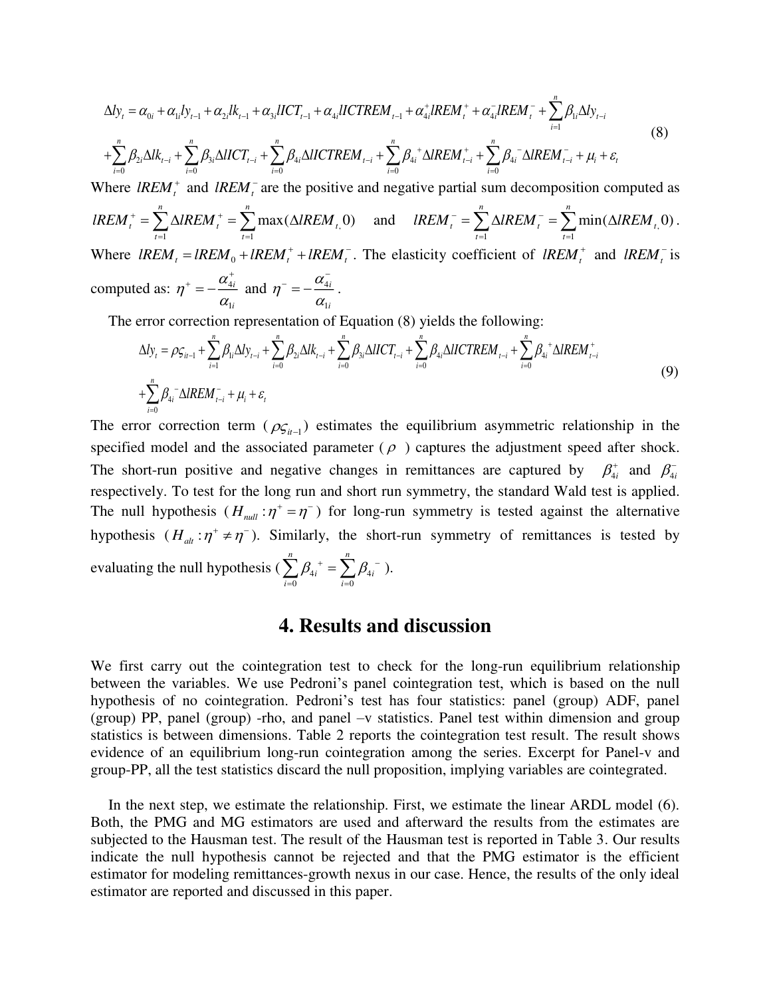$$
\Delta l y_{t} = \alpha_{0i} + \alpha_{1i} l y_{t-1} + \alpha_{2i} l k_{t-1} + \alpha_{3i} l I C T_{t-1} + \alpha_{4i} l I C T R E M_{t-1} + \alpha_{4i}^{+} l R E M_{t}^{+} + \alpha_{4i}^{-} l R E M_{t}^{-} + \sum_{i=1}^{n} \beta_{1i} \Delta l y_{t-i}
$$
\n
$$
+ \sum_{i=0}^{n} \beta_{2i} \Delta l k_{t-i} + \sum_{i=0}^{n} \beta_{3i} \Delta l I C T_{t-i} + \sum_{i=0}^{n} \beta_{4i} \Delta l I C T R E M_{t-i} + \sum_{i=0}^{n} \beta_{4i}^{+} \Delta l R E M_{t-i}^{+} + \sum_{i=0}^{n} \beta_{4i}^{-} \Delta l R E M_{t-i}^{-} + \mu_{i} + \varepsilon_{t}
$$
\n(8)

Where  $lREM_t^+$  and  $lREM_t^-$  are the positive and negative partial sum decomposition computed as  $\overline{t}$ ,  $\overline{t}$ ,  $\overline{t}$ ,  $\overline{t}$  $max(\triangle IREM_{t}0)$ *<sup>n</sup> <sup>n</sup> <sup>t</sup> <sup>t</sup> <sup>t</sup>*  $t=1$  t  $lREM_t^+ = \sum \Delta lREM_t^+ = \sum \max(\Delta lREM_t^+)$  $\sum_{t=1} \Delta IREM_t^+ = \sum_{t=1} \max(\Delta IREM_t, 0)$  and  $IREM_t^- = \sum_{t=1} \Delta IREM_t^- = \sum_{t=1} \min(\Delta IREM_t, 0)$  $min(\triangle IREM_{t}0)$ *<sup>n</sup> <sup>n</sup> <sup>t</sup> <sup>t</sup> <sup>t</sup>*  $t=1$  t  $lREM_t^- = \sum \Delta lREM_t^- = \sum \min(\Delta lREM_t^-)$  $=\sum_{t=1}\Delta IREM_t^{-}=\sum_{t=1}\min(\Delta IREM_t,0).$ Where  $lREM_t = lREM_0 + lREM_t^+ + lREM_t^-$ . The elasticity coefficient of  $lREM_t^+$  and  $lREM_t^-$  is computed as:  $\eta^+ = -\frac{\alpha_4}{4}$ 1 *i i*  $\eta^* = -\frac{\alpha}{\alpha}$  $\eta^+ = -\frac{\alpha_{4i}^+}{4}$  and  $\eta^- = -\frac{\alpha_4^-}{4}$ 1 *i i*  $\eta^{-}=-\frac{\alpha}{\alpha}$  $^{-} = -\frac{\alpha_{4i}^{-}}{2}$ .

The error correction representation of Equation (8) yields the following:

$$
\Delta l y_{t} = \rho \zeta_{it-1} + \sum_{i=1}^{n} \beta_{ii} \Delta l y_{t-i} + \sum_{i=0}^{n} \beta_{2i} \Delta l k_{t-i} + \sum_{i=0}^{n} \beta_{3i} \Delta l I C T_{t-i} + \sum_{i=0}^{n} \beta_{4i} \Delta l I C T R E M_{t-i} + \sum_{i=0}^{n} \beta_{4i}^{+} \Delta l R E M_{t-i}^{+}
$$
\n
$$
+ \sum_{i=0}^{n} \beta_{4i}^{-} \Delta l R E M_{t-i}^{-} + \mu_{i} + \varepsilon_{t}
$$
\n(9)

The error correction term ( $\rho_{\mathcal{S}_{it-1}}$ ) estimates the equilibrium asymmetric relationship in the specified model and the associated parameter ( $\rho$ ) captures the adjustment speed after shock. The short-run positive and negative changes in remittances are captured by  $\beta_{4i}^+$  and  $\beta_{4i}^$ respectively. To test for the long run and short run symmetry, the standard Wald test is applied. The null hypothesis  $(H_{null}: \eta^+ = \eta^-)$  for long-run symmetry is tested against the alternative hypothesis  $(H_{at} : \eta^+ \neq \eta^-)$ . Similarly, the short-run symmetry of remittances is tested by evaluating the null hypothesis (  $\sum_{i} \beta_{4i}^{\;\,+} = \sum_{i} \beta_{4i}^{\;\,-}$ 0  $i=0$ *<sup>n</sup> <sup>n</sup>*  $i$   $\sim$   $\mu_{4i}$ *i* =0 *i*  $\beta_{4i}^{\;\;+} = \sum \beta_{4i}^{\;\;-}$  $\sum_{i=0} \beta_{4i}^{\;\;+} = \sum_{i=0} \beta_{4i}^{\;\;-}$  ).

### **4. Results and discussion**

We first carry out the cointegration test to check for the long-run equilibrium relationship between the variables. We use Pedroni's panel cointegration test, which is based on the null hypothesis of no cointegration. Pedroni's test has four statistics: panel (group) ADF, panel (group) PP, panel (group) -rho, and panel –v statistics. Panel test within dimension and group statistics is between dimensions. Table 2 reports the cointegration test result. The result shows evidence of an equilibrium long-run cointegration among the series. Excerpt for Panel-v and group-PP, all the test statistics discard the null proposition, implying variables are cointegrated.

In the next step, we estimate the relationship. First, we estimate the linear ARDL model (6). Both, the PMG and MG estimators are used and afterward the results from the estimates are subjected to the Hausman test. The result of the Hausman test is reported in Table 3. Our results indicate the null hypothesis cannot be rejected and that the PMG estimator is the efficient estimator for modeling remittances-growth nexus in our case. Hence, the results of the only ideal estimator are reported and discussed in this paper.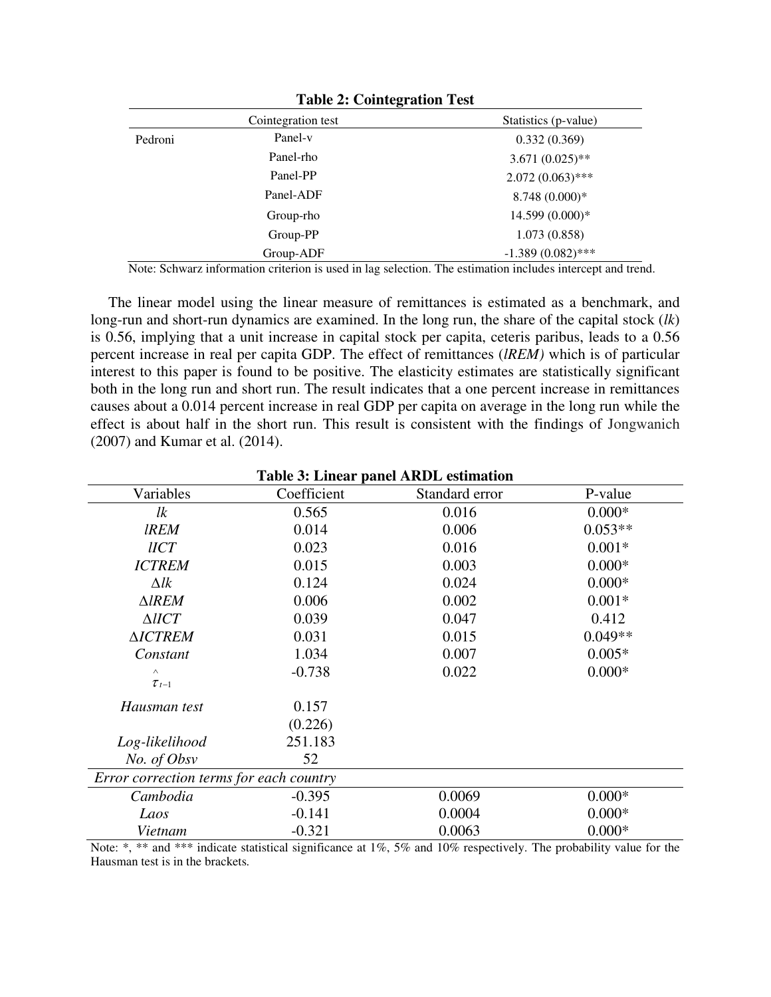|         | . .                |                      |
|---------|--------------------|----------------------|
|         | Cointegration test | Statistics (p-value) |
| Pedroni | Panel-v            | 0.332(0.369)         |
|         | Panel-rho          | $3.671(0.025)$ **    |
|         | Panel-PP           | $2.072(0.063)$ ***   |
|         | Panel-ADF          | 8.748 (0.000)*       |
|         | Group-rho          | 14.599 (0.000)*      |
|         | Group-PP           | 1.073(0.858)         |
|         | Group-ADF          | $-1.389(0.082)$ ***  |

**Table 2: Cointegration Test** 

Note: Schwarz information criterion is used in lag selection. The estimation includes intercept and trend.

The linear model using the linear measure of remittances is estimated as a benchmark, and long-run and short-run dynamics are examined. In the long run, the share of the capital stock (*lk*) is 0.56, implying that a unit increase in capital stock per capita, ceteris paribus, leads to a 0.56 percent increase in real per capita GDP. The effect of remittances (*lREM)* which is of particular interest to this paper is found to be positive. The elasticity estimates are statistically significant both in the long run and short run. The result indicates that a one percent increase in remittances causes about a 0.014 percent increase in real GDP per capita on average in the long run while the effect is about half in the short run. This result is consistent with the findings of Jongwanich (2007) and Kumar et al. (2014).

| Table 5: Linear panel ARDL esumation    |             |                |           |  |  |  |  |
|-----------------------------------------|-------------|----------------|-----------|--|--|--|--|
| Variables                               | Coefficient | Standard error | P-value   |  |  |  |  |
| lk                                      | 0.565       | 0.016          | $0.000*$  |  |  |  |  |
| <i><b>IREM</b></i>                      | 0.014       | 0.006          | $0.053**$ |  |  |  |  |
| $\mathit{UCT}$                          | 0.023       | 0.016          | $0.001*$  |  |  |  |  |
| <b>ICTREM</b>                           | 0.015       | 0.003          | $0.000*$  |  |  |  |  |
| $\Delta lk$                             | 0.124       | 0.024          | $0.000*$  |  |  |  |  |
| $\triangle$ <i>IREM</i>                 | 0.006       | 0.002          | $0.001*$  |  |  |  |  |
| $\triangle IICT$                        | 0.039       | 0.047          | 0.412     |  |  |  |  |
| <b>AICTREM</b>                          | 0.031       | 0.015          | $0.049**$ |  |  |  |  |
| Constant                                | 1.034       | 0.007          | $0.005*$  |  |  |  |  |
| $\wedge$                                | $-0.738$    | 0.022          | $0.000*$  |  |  |  |  |
| $\tau_{t-1}$                            |             |                |           |  |  |  |  |
| Hausman test                            | 0.157       |                |           |  |  |  |  |
|                                         | (0.226)     |                |           |  |  |  |  |
| Log-likelihood                          | 251.183     |                |           |  |  |  |  |
| No. of Obsv                             | 52          |                |           |  |  |  |  |
| Error correction terms for each country |             |                |           |  |  |  |  |
| Cambodia                                | $-0.395$    | 0.0069         | $0.000*$  |  |  |  |  |
| Laos                                    | $-0.141$    | 0.0004         | $0.000*$  |  |  |  |  |
| Vietnam                                 | $-0.321$    | 0.0063         | $0.000*$  |  |  |  |  |

**Table 3: Linear panel ARDL estimation** 

Note: \*, \*\* and \*\*\* indicate statistical significance at 1%, 5% and 10% respectively. The probability value for the Hausman test is in the brackets*.*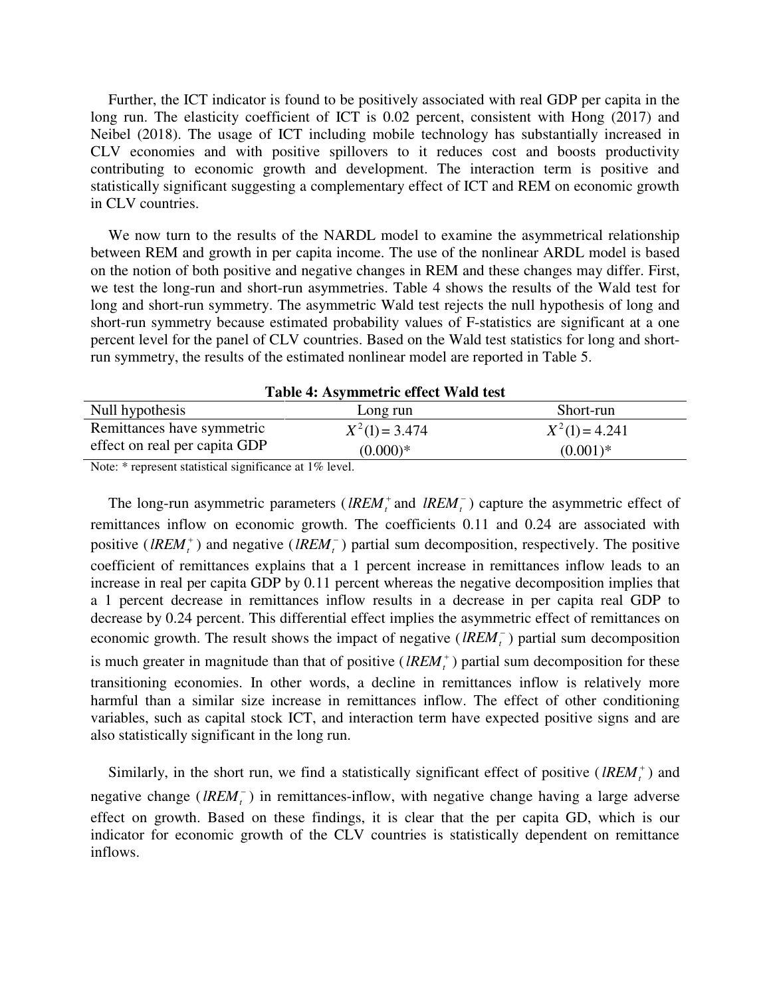Further, the ICT indicator is found to be positively associated with real GDP per capita in the long run. The elasticity coefficient of ICT is 0.02 percent, consistent with Hong (2017) and Neibel (2018). The usage of ICT including mobile technology has substantially increased in CLV economies and with positive spillovers to it reduces cost and boosts productivity contributing to economic growth and development. The interaction term is positive and statistically significant suggesting a complementary effect of ICT and REM on economic growth in CLV countries.

We now turn to the results of the NARDL model to examine the asymmetrical relationship between REM and growth in per capita income. The use of the nonlinear ARDL model is based on the notion of both positive and negative changes in REM and these changes may differ. First, we test the long-run and short-run asymmetries. Table 4 shows the results of the Wald test for long and short-run symmetry. The asymmetric Wald test rejects the null hypothesis of long and short-run symmetry because estimated probability values of F-statistics are significant at a one percent level for the panel of CLV countries. Based on the Wald test statistics for long and shortrun symmetry, the results of the estimated nonlinear model are reported in Table 5.

| Table 4: Asymmetric effect Wald test |                  |                  |  |  |  |  |
|--------------------------------------|------------------|------------------|--|--|--|--|
| Null hypothesis                      | Long run         | Short-run        |  |  |  |  |
| Remittances have symmetric           | $X^2(1) = 3.474$ | $X^2(1) = 4.241$ |  |  |  |  |
| effect on real per capita GDP        | $(0.000)*$       | $(0.001)*$       |  |  |  |  |

Note: \* represent statistical significance at 1% level.

The long-run asymmetric parameters (*lREM*<sup>+</sup> and *lREM*<sup>-</sup>) capture the asymmetric effect of remittances inflow on economic growth. The coefficients 0.11 and 0.24 are associated with positive (*lREM*<sup>+</sup>) and negative (*lREM*<sup>-</sup>) partial sum decomposition, respectively. The positive coefficient of remittances explains that a 1 percent increase in remittances inflow leads to an increase in real per capita GDP by 0.11 percent whereas the negative decomposition implies that a 1 percent decrease in remittances inflow results in a decrease in per capita real GDP to decrease by 0.24 percent. This differential effect implies the asymmetric effect of remittances on economic growth. The result shows the impact of negative  $(lREM<sub>i</sub><sup>-</sup>)$  partial sum decomposition is much greater in magnitude than that of positive  $(lREM_t^+)$  partial sum decomposition for these transitioning economies. In other words, a decline in remittances inflow is relatively more harmful than a similar size increase in remittances inflow. The effect of other conditioning variables, such as capital stock ICT, and interaction term have expected positive signs and are also statistically significant in the long run.

Similarly, in the short run, we find a statistically significant effect of positive ( $lREM_t^+$ ) and negative change ( $lREM_t^-$ ) in remittances-inflow, with negative change having a large adverse effect on growth. Based on these findings, it is clear that the per capita GD, which is our indicator for economic growth of the CLV countries is statistically dependent on remittance inflows.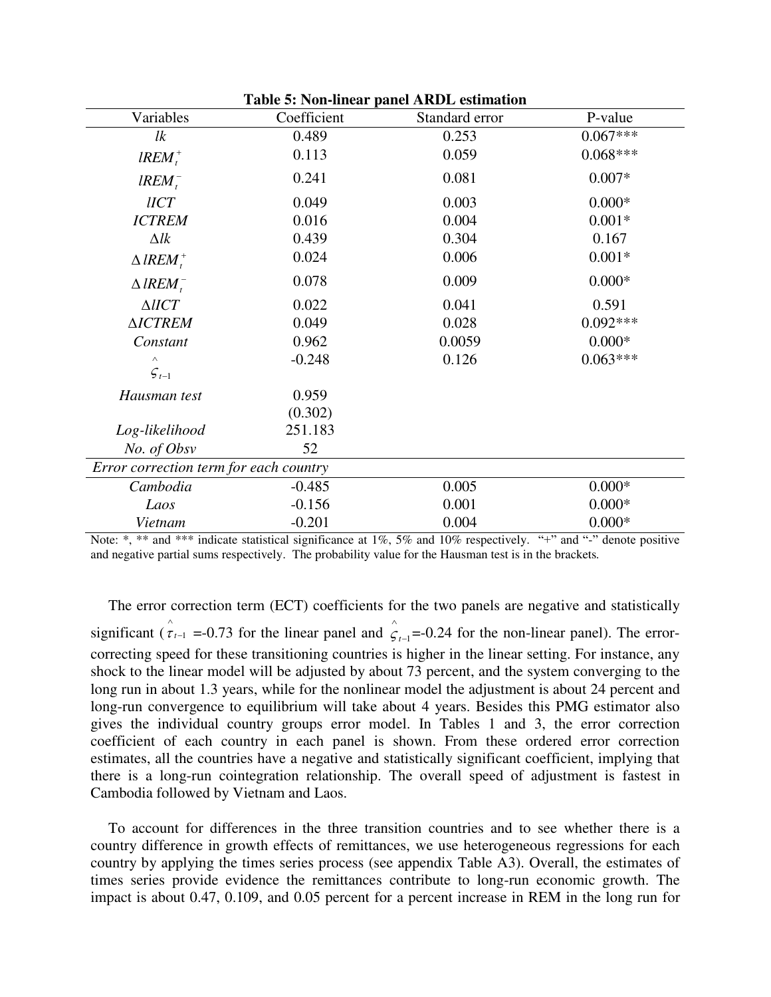| <b>Table 5: Non-linear panel ARDL estimation</b> |             |                |            |  |  |  |  |
|--------------------------------------------------|-------------|----------------|------------|--|--|--|--|
| Variables                                        | Coefficient | Standard error | P-value    |  |  |  |  |
| lk                                               | 0.489       | 0.253          | $0.067***$ |  |  |  |  |
| $lREM_t^+$                                       | 0.113       | 0.059          | $0.068***$ |  |  |  |  |
| $lREM^{-}$                                       | 0.241       | 0.081          | $0.007*$   |  |  |  |  |
| $l ICT$                                          | 0.049       | 0.003          | $0.000*$   |  |  |  |  |
| <b>ICTREM</b>                                    | 0.016       | 0.004          | $0.001*$   |  |  |  |  |
| $\Delta lk$                                      | 0.439       | 0.304          | 0.167      |  |  |  |  |
| $\triangle$ lREM <sup>+</sup>                    | 0.024       | 0.006          | $0.001*$   |  |  |  |  |
| $\triangle$ lREM $^{-}_{c}$                      | 0.078       | 0.009          | $0.000*$   |  |  |  |  |
| $\triangle IICT$                                 | 0.022       | 0.041          | 0.591      |  |  |  |  |
| <b>AICTREM</b>                                   | 0.049       | 0.028          | $0.092***$ |  |  |  |  |
| Constant                                         | 0.962       | 0.0059         | $0.000*$   |  |  |  |  |
| $\wedge$                                         | $-0.248$    | 0.126          | $0.063***$ |  |  |  |  |
| $\mathcal{F}_{t-1}$                              |             |                |            |  |  |  |  |
| Hausman test                                     | 0.959       |                |            |  |  |  |  |
|                                                  | (0.302)     |                |            |  |  |  |  |
| Log-likelihood                                   | 251.183     |                |            |  |  |  |  |
| No. of Obsv                                      | 52          |                |            |  |  |  |  |
| Error correction term for each country           |             |                |            |  |  |  |  |
| Cambodia                                         | $-0.485$    | 0.005          | $0.000*$   |  |  |  |  |
| Laos                                             | $-0.156$    | 0.001          | $0.000*$   |  |  |  |  |
| Vietnam                                          | $-0.201$    | 0.004          | $0.000*$   |  |  |  |  |

Note: \*, \*\* and \*\*\* indicate statistical significance at 1%, 5% and 10% respectively. "+" and "-" denote positive and negative partial sums respectively. The probability value for the Hausman test is in the brackets*.* 

The error correction term (ECT) coefficients for the two panels are negative and statistically significant ( $\hat{\tau}_{t-1}$  =-0.73 for the linear panel and  $\hat{\zeta}_{t-1}$  $\hat{\zeta}_{t-1}$ =-0.24 for the non-linear panel). The errorcorrecting speed for these transitioning countries is higher in the linear setting. For instance, any shock to the linear model will be adjusted by about 73 percent, and the system converging to the long run in about 1.3 years, while for the nonlinear model the adjustment is about 24 percent and long-run convergence to equilibrium will take about 4 years. Besides this PMG estimator also gives the individual country groups error model. In Tables 1 and 3, the error correction coefficient of each country in each panel is shown. From these ordered error correction estimates, all the countries have a negative and statistically significant coefficient, implying that there is a long-run cointegration relationship. The overall speed of adjustment is fastest in Cambodia followed by Vietnam and Laos.

To account for differences in the three transition countries and to see whether there is a country difference in growth effects of remittances, we use heterogeneous regressions for each country by applying the times series process (see appendix Table A3). Overall, the estimates of times series provide evidence the remittances contribute to long-run economic growth. The impact is about 0.47, 0.109, and 0.05 percent for a percent increase in REM in the long run for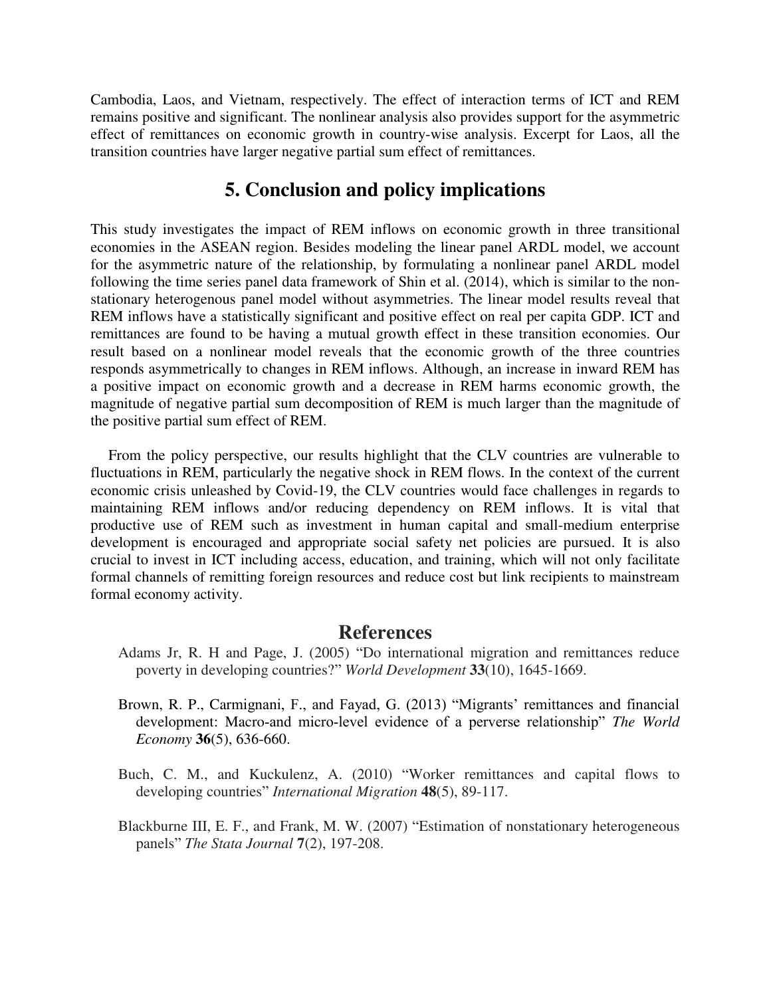Cambodia, Laos, and Vietnam, respectively. The effect of interaction terms of ICT and REM remains positive and significant. The nonlinear analysis also provides support for the asymmetric effect of remittances on economic growth in country-wise analysis. Excerpt for Laos, all the transition countries have larger negative partial sum effect of remittances.

## **5. Conclusion and policy implications**

This study investigates the impact of REM inflows on economic growth in three transitional economies in the ASEAN region. Besides modeling the linear panel ARDL model, we account for the asymmetric nature of the relationship, by formulating a nonlinear panel ARDL model following the time series panel data framework of Shin et al. (2014), which is similar to the nonstationary heterogenous panel model without asymmetries. The linear model results reveal that REM inflows have a statistically significant and positive effect on real per capita GDP. ICT and remittances are found to be having a mutual growth effect in these transition economies. Our result based on a nonlinear model reveals that the economic growth of the three countries responds asymmetrically to changes in REM inflows. Although, an increase in inward REM has a positive impact on economic growth and a decrease in REM harms economic growth, the magnitude of negative partial sum decomposition of REM is much larger than the magnitude of the positive partial sum effect of REM.

From the policy perspective, our results highlight that the CLV countries are vulnerable to fluctuations in REM, particularly the negative shock in REM flows. In the context of the current economic crisis unleashed by Covid-19, the CLV countries would face challenges in regards to maintaining REM inflows and/or reducing dependency on REM inflows. It is vital that productive use of REM such as investment in human capital and small-medium enterprise development is encouraged and appropriate social safety net policies are pursued. It is also crucial to invest in ICT including access, education, and training, which will not only facilitate formal channels of remitting foreign resources and reduce cost but link recipients to mainstream formal economy activity.

#### **References**

- Adams Jr, R. H and Page, J. (2005) "Do international migration and remittances reduce poverty in developing countries?" *World Development* **33**(10), 1645-1669.
- Brown, R. P., Carmignani, F., and Fayad, G. (2013) "Migrants' remittances and financial development: Macro‐and micro‐level evidence of a perverse relationship" *The World Economy* **36**(5), 636-660.
- Buch, C. M., and Kuckulenz, A. (2010) "Worker remittances and capital flows to developing countries" *International Migration* **48**(5), 89-117.
- Blackburne III, E. F., and Frank, M. W. (2007) "Estimation of nonstationary heterogeneous panels" *The Stata Journal* **7**(2), 197-208.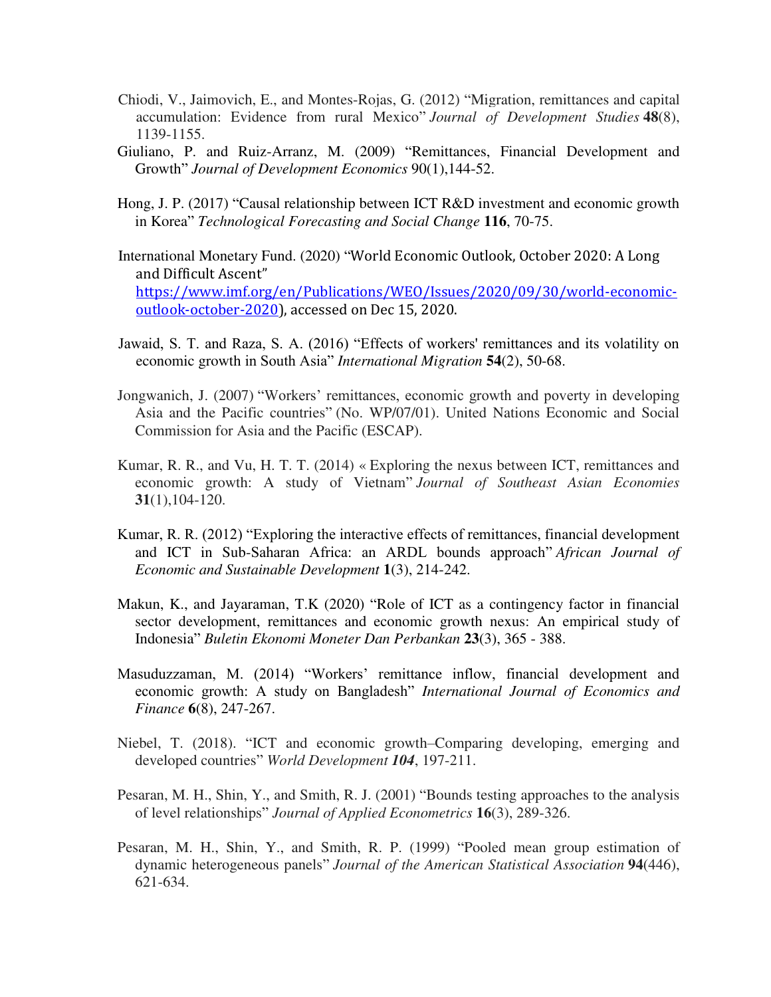- Chiodi, V., Jaimovich, E., and Montes-Rojas, G. (2012) "Migration, remittances and capital accumulation: Evidence from rural Mexico" *Journal of Development Studies* **48**(8), 1139-1155.
- Giuliano, P. and Ruiz-Arranz, M. (2009) "Remittances, Financial Development and Growth" *Journal of Development Economics* 90(1),144-52.
- Hong, J. P. (2017) "Causal relationship between ICT R&D investment and economic growth in Korea" *Technological Forecasting and Social Change* **116**, 70-75.
- International Monetary Fund. (2020) "World Economic Outlook, October 2020: A Long and Difficult Ascent" [https://www.imf.org/en/Publications/WEO/Issues/2020/09/30/world-economic](https://www.imf.org/en/Publications/WEO/Issues/2020/09/30/world-economic-outlook-october-2020)[outlook-october-2020\)](https://www.imf.org/en/Publications/WEO/Issues/2020/09/30/world-economic-outlook-october-2020), accessed on Dec 15, 2020.
- Jawaid, S. T. and Raza, S. A. (2016) "Effects of workers' remittances and its volatility on economic growth in South Asia" *International Migration* **54**(2), 50-68.
- Jongwanich, J. (2007) "Workers' remittances, economic growth and poverty in developing Asia and the Pacific countries" (No. WP/07/01). United Nations Economic and Social Commission for Asia and the Pacific (ESCAP).
- Kumar, R. R., and Vu, H. T. T. (2014) « Exploring the nexus between ICT, remittances and economic growth: A study of Vietnam" *Journal of Southeast Asian Economies* **31**(1),104-120.
- Kumar, R. R. (2012) "Exploring the interactive effects of remittances, financial development and ICT in Sub-Saharan Africa: an ARDL bounds approach" *African Journal of Economic and Sustainable Development* **1**(3), 214-242.
- Makun, K., and Jayaraman, T.K (2020) "Role of ICT as a contingency factor in financial sector development, remittances and economic growth nexus: An empirical study of Indonesia" *Buletin Ekonomi Moneter Dan Perbankan* **23**(3), 365 - 388.
- Masuduzzaman, M. (2014) "Workers' remittance inflow, financial development and economic growth: A study on Bangladesh" *International Journal of Economics and Finance* **6**(8), 247-267.
- Niebel, T. (2018). "ICT and economic growth–Comparing developing, emerging and developed countries" *World Development 104*, 197-211.
- Pesaran, M. H., Shin, Y., and Smith, R. J. (2001) "Bounds testing approaches to the analysis of level relationships" *Journal of Applied Econometrics* **16**(3), 289-326.
- Pesaran, M. H., Shin, Y., and Smith, R. P. (1999) "Pooled mean group estimation of dynamic heterogeneous panels" *Journal of the American Statistical Association* **94**(446), 621-634.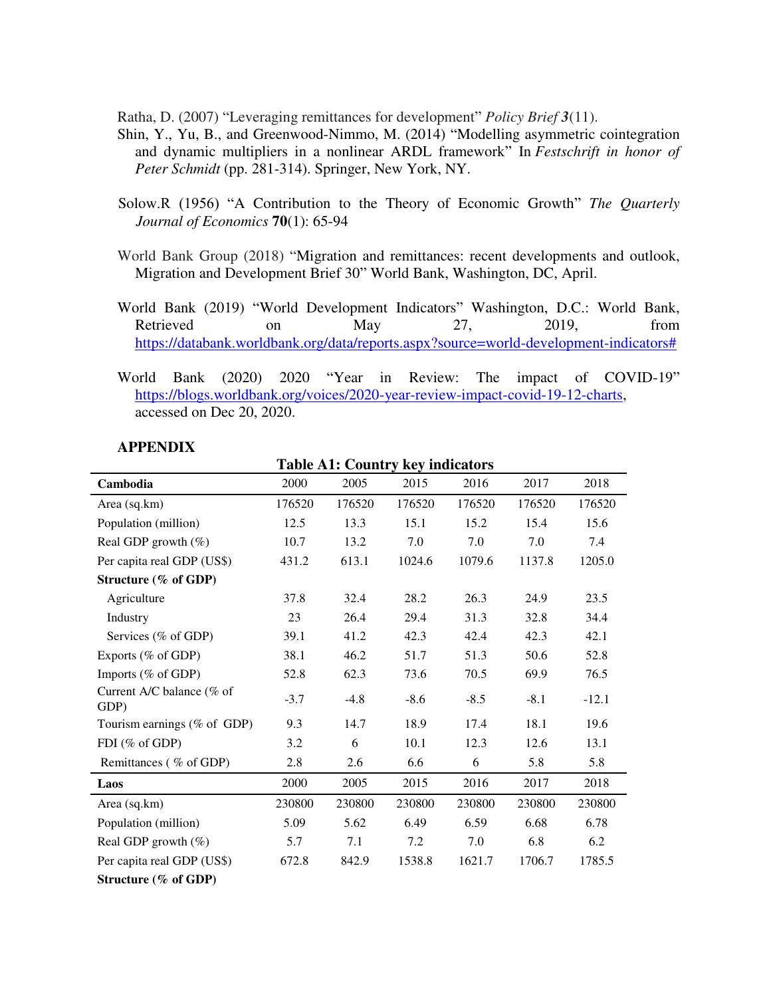Ratha, D. (2007) "Leveraging remittances for development" *Policy Brief 3*(11).

- Shin, Y., Yu, B., and Greenwood-Nimmo, M. (2014) "Modelling asymmetric cointegration and dynamic multipliers in a nonlinear ARDL framework" In *Festschrift in honor of Peter Schmidt* (pp. 281-314). Springer, New York, NY.
- Solow.R (1956) "A Contribution to the Theory of Economic Growth" *The Quarterly Journal of Economics* **70**(1): 65-94
- World Bank Group (2018) "Migration and remittances: recent developments and outlook, Migration and Development Brief 30" World Bank, Washington, DC, April.
- World Bank (2019) "World Development Indicators" Washington, D.C.: World Bank, Retrieved on May 27, 2019, from [https://databank.worldbank.org/data/reports.aspx?source=world-development-indicators#](https://databank.worldbank.org/data/reports.aspx?source=world-development-indicators)
- World Bank (2020) 2020 "Year in Review: The impact of COVID-19" [https://blogs.worldbank.org/voices/2020-year-review-impact-covid-19-12-charts,](https://blogs.worldbank.org/voices/2020-year-review-impact-covid-19-12-charts) accessed on Dec 20, 2020.

| <b>APPENDIX</b> |
|-----------------|
|-----------------|

| Cambodia                          | 2000   | 2005   | 2015   | 2016   | 2017   | 2018    |
|-----------------------------------|--------|--------|--------|--------|--------|---------|
| Area (sq.km)                      | 176520 | 176520 | 176520 | 176520 | 176520 | 176520  |
| Population (million)              | 12.5   | 13.3   | 15.1   | 15.2   | 15.4   | 15.6    |
| Real GDP growth $(\%)$            | 10.7   | 13.2   | 7.0    | 7.0    | 7.0    | 7.4     |
| Per capita real GDP (US\$)        | 431.2  | 613.1  | 1024.6 | 1079.6 | 1137.8 | 1205.0  |
| Structure (% of GDP)              |        |        |        |        |        |         |
| Agriculture                       | 37.8   | 32.4   | 28.2   | 26.3   | 24.9   | 23.5    |
| Industry                          | 23     | 26.4   | 29.4   | 31.3   | 32.8   | 34.4    |
| Services (% of GDP)               | 39.1   | 41.2   | 42.3   | 42.4   | 42.3   | 42.1    |
| Exports (% of GDP)                | 38.1   | 46.2   | 51.7   | 51.3   | 50.6   | 52.8    |
| Imports (% of GDP)                | 52.8   | 62.3   | 73.6   | 70.5   | 69.9   | 76.5    |
| Current A/C balance (% of<br>GDP) | $-3.7$ | $-4.8$ | $-8.6$ | $-8.5$ | $-8.1$ | $-12.1$ |
| Tourism earnings (% of GDP)       | 9.3    | 14.7   | 18.9   | 17.4   | 18.1   | 19.6    |
| FDI (% of GDP)                    | 3.2    | 6      | 10.1   | 12.3   | 12.6   | 13.1    |
| Remittances (% of GDP)            | 2.8    | 2.6    | 6.6    | 6      | 5.8    | 5.8     |
| Laos                              | 2000   | 2005   | 2015   | 2016   | 2017   | 2018    |
| Area (sq.km)                      | 230800 | 230800 | 230800 | 230800 | 230800 | 230800  |
| Population (million)              | 5.09   | 5.62   | 6.49   | 6.59   | 6.68   | 6.78    |
| Real GDP growth $(\%)$            | 5.7    | 7.1    | 7.2    | 7.0    | 6.8    | 6.2     |
| Per capita real GDP (US\$)        | 672.8  | 842.9  | 1538.8 | 1621.7 | 1706.7 | 1785.5  |
| Structure $(\%$ of GDP)           |        |        |        |        |        |         |

**Table A1: Country key indicators**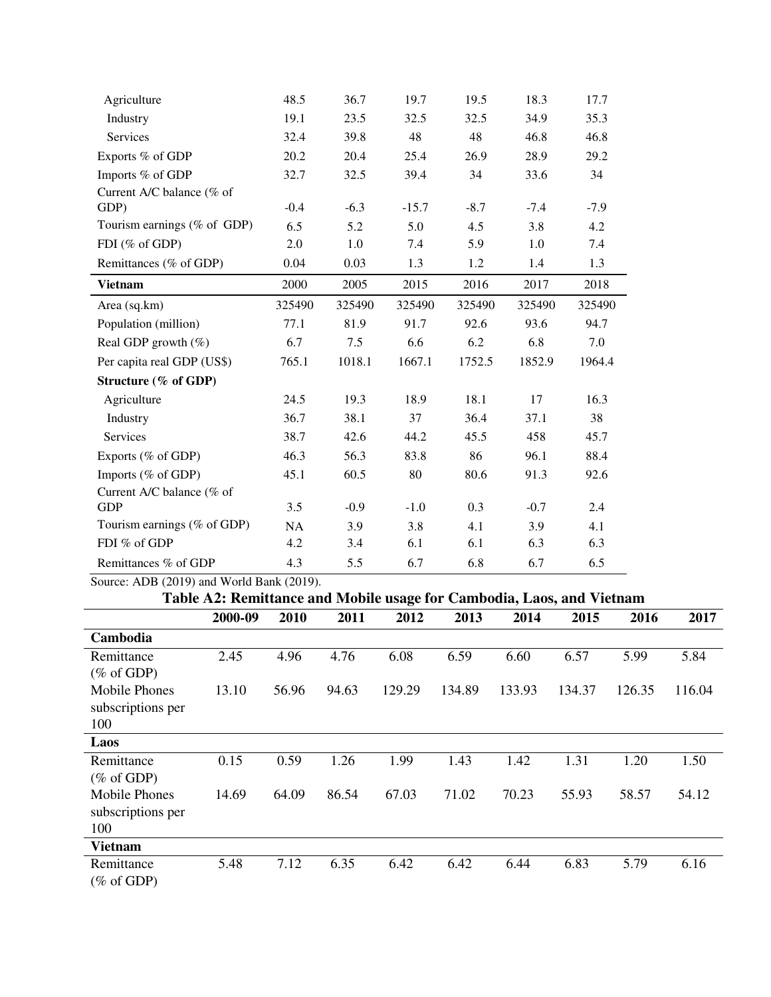| Agriculture                 | 48.5      | 36.7   | 19.7    | 19.5   | 18.3   | 17.7   |
|-----------------------------|-----------|--------|---------|--------|--------|--------|
| Industry                    | 19.1      | 23.5   | 32.5    | 32.5   | 34.9   | 35.3   |
| Services                    | 32.4      | 39.8   | 48      | 48     | 46.8   | 46.8   |
| Exports % of GDP            | 20.2      | 20.4   | 25.4    | 26.9   | 28.9   | 29.2   |
| Imports % of GDP            | 32.7      | 32.5   | 39.4    | 34     | 33.6   | 34     |
| Current A/C balance (% of   |           |        |         |        |        |        |
| GDP)                        | $-0.4$    | $-6.3$ | $-15.7$ | $-8.7$ | $-7.4$ | $-7.9$ |
| Tourism earnings (% of GDP) | 6.5       | 5.2    | 5.0     | 4.5    | 3.8    | 4.2    |
| FDI (% of GDP)              | 2.0       | 1.0    | 7.4     | 5.9    | 1.0    | 7.4    |
| Remittances (% of GDP)      | 0.04      | 0.03   | 1.3     | 1.2    | 1.4    | 1.3    |
| <b>Vietnam</b>              | 2000      | 2005   | 2015    | 2016   | 2017   | 2018   |
| Area (sq.km)                | 325490    | 325490 | 325490  | 325490 | 325490 | 325490 |
| Population (million)        | 77.1      | 81.9   | 91.7    | 92.6   | 93.6   | 94.7   |
| Real GDP growth $(\%)$      | 6.7       | 7.5    | 6.6     | 6.2    | 6.8    | 7.0    |
| Per capita real GDP (US\$)  | 765.1     | 1018.1 | 1667.1  | 1752.5 | 1852.9 | 1964.4 |
| Structure (% of GDP)        |           |        |         |        |        |        |
| Agriculture                 | 24.5      | 19.3   | 18.9    | 18.1   | 17     | 16.3   |
| Industry                    | 36.7      | 38.1   | 37      | 36.4   | 37.1   | 38     |
| Services                    | 38.7      | 42.6   | 44.2    | 45.5   | 458    | 45.7   |
| Exports (% of GDP)          | 46.3      | 56.3   | 83.8    | 86     | 96.1   | 88.4   |
| Imports (% of GDP)          | 45.1      | 60.5   | 80      | 80.6   | 91.3   | 92.6   |
| Current A/C balance (% of   |           |        |         |        |        |        |
| <b>GDP</b>                  | 3.5       | $-0.9$ | $-1.0$  | 0.3    | $-0.7$ | 2.4    |
| Tourism earnings (% of GDP) | <b>NA</b> | 3.9    | 3.8     | 4.1    | 3.9    | 4.1    |
| FDI % of GDP                | 4.2       | 3.4    | 6.1     | 6.1    | 6.3    | 6.3    |
| Remittances % of GDP        | 4.3       | 5.5    | 6.7     | 6.8    | 6.7    | 6.5    |

Source: ADB (2019) and World Bank (2019).

# **Table A2: Remittance and Mobile usage for Cambodia, Laos, and Vietnam**

|                       | 2000-09 | 2010  | 2011  | 2012   | 2013   | 2014   | 2015   | 2016   | 2017   |
|-----------------------|---------|-------|-------|--------|--------|--------|--------|--------|--------|
| Cambodia              |         |       |       |        |        |        |        |        |        |
| Remittance            | 2.45    | 4.96  | 4.76  | 6.08   | 6.59   | 6.60   | 6.57   | 5.99   | 5.84   |
| $(\% \text{ of GDP})$ |         |       |       |        |        |        |        |        |        |
| <b>Mobile Phones</b>  | 13.10   | 56.96 | 94.63 | 129.29 | 134.89 | 133.93 | 134.37 | 126.35 | 116.04 |
| subscriptions per     |         |       |       |        |        |        |        |        |        |
| 100                   |         |       |       |        |        |        |        |        |        |
| Laos                  |         |       |       |        |        |        |        |        |        |
| Remittance            | 0.15    | 0.59  | 1.26  | 1.99   | 1.43   | 1.42   | 1.31   | 1.20   | 1.50   |
| $(\% \text{ of GDP})$ |         |       |       |        |        |        |        |        |        |
| Mobile Phones         | 14.69   | 64.09 | 86.54 | 67.03  | 71.02  | 70.23  | 55.93  | 58.57  | 54.12  |
| subscriptions per     |         |       |       |        |        |        |        |        |        |
| 100                   |         |       |       |        |        |        |        |        |        |
| <b>Vietnam</b>        |         |       |       |        |        |        |        |        |        |
| Remittance            | 5.48    | 7.12  | 6.35  | 6.42   | 6.42   | 6.44   | 6.83   | 5.79   | 6.16   |
| $(\% \text{ of GDP})$ |         |       |       |        |        |        |        |        |        |